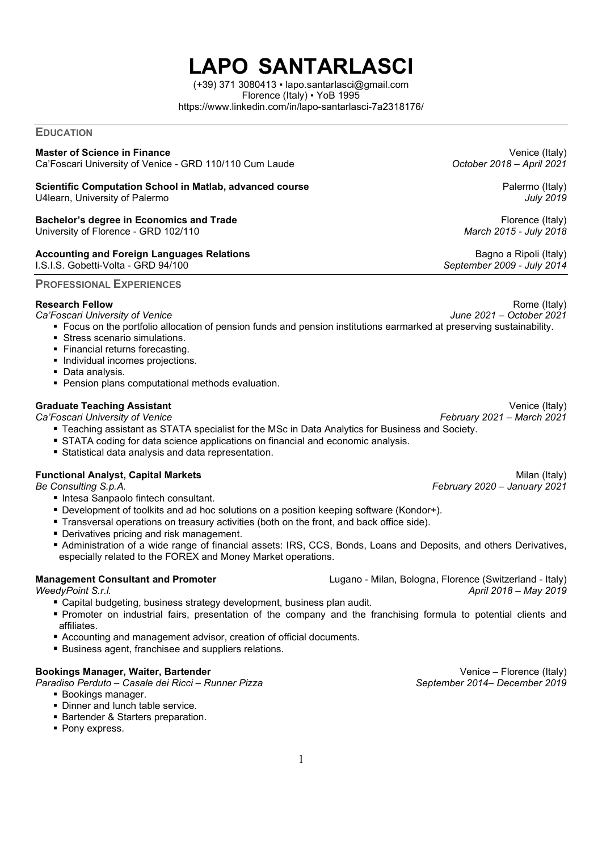# LAPO SANTARLASCI

 $(+39)$  371 3080413  $\cdot$  lapo.santarlasci@gmail.com Florence (Italy) ▪ YoB 1995 https://www.linkedin.com/in/lapo-santarlasci-7a2318176/

**EDUCATION** 

#### Master of Science in Finance **Venice (Italy)** New York 1997 (Venice (Italy)

Ca'Foscari University of Venice - GRD 110/110 Cum Laude Category Controller 2018 – April 2021

#### Scientific Computation School in Matlab, advanced course **Palermo (Italy)** Palermo (Italy) U4learn, University of Palermo **July 2019**

### Bachelor's degree in Economics and Trade Florence (Italy) and Trade Florence (Italy)

University of Florence - GRD 102/110 **March 2015 - July 2018** March 2015 - July 2018

## Accounting and Foreign Languages Relations **Bagno a Ripoli (Italy)** Bagno a Ripoli (Italy)

I.S.I.S. Gobetti-Volta - GRD 94/100 November 2009 - July 2014

### PROFESSIONAL EXPERIENCES

- Ca'Foscari University of Venice
	- Focus on the portfolio allocation of pension funds and pension institutions earmarked at preserving sustainability.
	- Stress scenario simulations.
	- **Financial returns forecasting.**
	- Individual incomes projections.
	- **Data analysis.**
	- **Pension plans computational methods evaluation.**

### Graduate Teaching Assistant **Venice (Italy)** and the control of the control of the control of the control of the control of the control of the control of the control of the control of the control of the control of the cont

- Ca'Foscari University of Venice February 2021 March 2021 March 2021
	- Teaching assistant as STATA specialist for the MSc in Data Analytics for Business and Society.
	- STATA coding for data science applications on financial and economic analysis.
	- Statistical data analysis and data representation.

#### **Functional Analyst, Capital Markets Milan (Italy)** and the settlement of the settlement of the Milan (Italy)

Be Consulting S.p.A. **February 2020** – January 2021

- Intesa Sanpaolo fintech consultant.
- Development of toolkits and ad hoc solutions on a position keeping software (Kondor+).
- Transversal operations on treasury activities (both on the front, and back office side).
- **Derivatives pricing and risk management.**
- Administration of a wide range of financial assets: IRS, CCS, Bonds, Loans and Deposits, and others Derivatives, especially related to the FOREX and Money Market operations.

- Capital budgeting, business strategy development, business plan audit.
- Promoter on industrial fairs, presentation of the company and the franchising formula to potential clients and affiliates.
- Accounting and management advisor, creation of official documents.
- Business agent, franchisee and suppliers relations.

### Bookings Manager, Waiter, Bartender Venice – Florence (Italy)

Paradiso Perduto – Casale dei Ricci – Runner Pizza September 2014– December 2019

- **Bookings manager.**
- Dinner and lunch table service.
- **Bartender & Starters preparation.**
- Pony express.

Management Consultant and Promoter **Lugano - Milan, Bologna, Florence (Switzerland - Italy)** Lugano - Milan, Bologna, Florence (Switzerland - Italy) WeedyPoint S.r.l. April 2018 – May 2019

Research Fellow Rome (Italy)<br>Ca'Foscari University of Venice New Rome (Italy) Ca'Foscari University of Venice